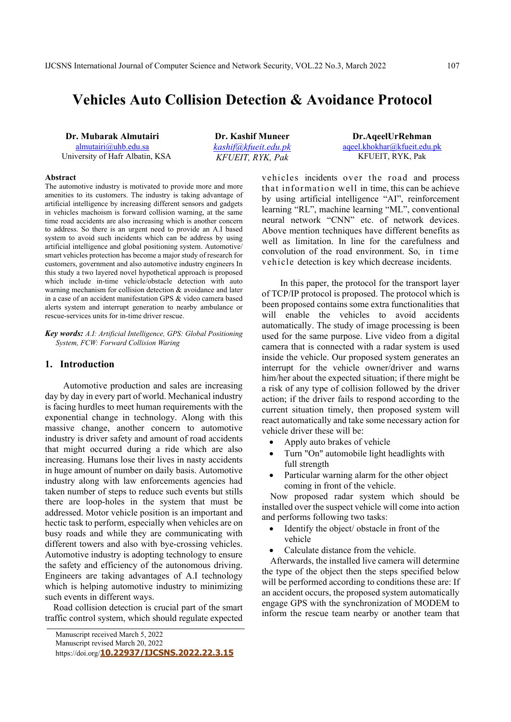# **Vehicles Auto Collision Detection & Avoidance Protocol**

**Dr. Mubarak Almutairi** almutairi@uhb.edu.sa University of Hafr Albatin, KSA

**Dr. Kashif Muneer** *kashif@kfueit.edu.pk KFUEIT, RYK, Pak* 

**Dr.AqeelUrRehman**  aqeel.khokhar@kfueit.edu.pk KFUEIT, RYK, Pak

#### **Abstract**

The automotive industry is motivated to provide more and more amenities to its customers. The industry is taking advantage of artificial intelligence by increasing different sensors and gadgets in vehicles machoism is forward collision warning, at the same time road accidents are also increasing which is another concern to address. So there is an urgent need to provide an A.I based system to avoid such incidents which can be address by using artificial intelligence and global positioning system. Automotive/ smart vehicles protection has become a major study of research for customers, government and also automotive industry engineers In this study a two layered novel hypothetical approach is proposed which include in-time vehicle/obstacle detection with auto warning mechanism for collision detection & avoidance and later in a case of an accident manifestation GPS & video camera based alerts system and interrupt generation to nearby ambulance or rescue-services units for in-time driver rescue.

*Key words: A.I: Artificial Intelligence, GPS: Global Positioning System, FCW: Forward Collision Waring*

#### **1. Introduction**

Automotive production and sales are increasing day by day in every part of world. Mechanical industry is facing hurdles to meet human requirements with the exponential change in technology. Along with this massive change, another concern to automotive industry is driver safety and amount of road accidents that might occurred during a ride which are also increasing. Humans lose their lives in nasty accidents in huge amount of number on daily basis. Automotive industry along with law enforcements agencies had taken number of steps to reduce such events but stills there are loop-holes in the system that must be addressed. Motor vehicle position is an important and hectic task to perform, especially when vehicles are on busy roads and while they are communicating with different towers and also with bye-crossing vehicles. Automotive industry is adopting technology to ensure the safety and efficiency of the autonomous driving. Engineers are taking advantages of A.I technology which is helping automotive industry to minimizing such events in different ways.

Road collision detection is crucial part of the smart traffic control system, which should regulate expected

https://doi.org/**10.22937/IJCSNS.2022.22.3.15**

vehicles incidents over the road and process that information well in time, this can be achieve by using artificial intelligence "AI", reinforcement learning "RL", machine learning "ML", conventional neural network "CNN" etc. of network devices. Above mention techniques have different benefits as well as limitation. In line for the carefulness and convolution of the road environment. So, in time vehicle detection is key which decrease incidents.

In this paper, the protocol for the transport layer of TCP/IP protocol is proposed. The protocol which is been proposed contains some extra functionalities that will enable the vehicles to avoid accidents automatically. The study of image processing is been used for the same purpose. Live video from a digital camera that is connected with a radar system is used inside the vehicle. Our proposed system generates an interrupt for the vehicle owner/driver and warns him/her about the expected situation; if there might be a risk of any type of collision followed by the driver action; if the driver fails to respond according to the current situation timely, then proposed system will react automatically and take some necessary action for vehicle driver these will be:

- Apply auto brakes of vehicle
- Turn "On" automobile light headlights with full strength
- Particular warning alarm for the other object coming in front of the vehicle.

Now proposed radar system which should be installed over the suspect vehicle will come into action and performs following two tasks:

- Identify the object/ obstacle in front of the vehicle
- Calculate distance from the vehicle.

Afterwards, the installed live camera will determine the type of the object then the steps specified below will be performed according to conditions these are: If an accident occurs, the proposed system automatically engage GPS with the synchronization of MODEM to inform the rescue team nearby or another team that

Manuscript received March 5, 2022

Manuscript revised March 20, 2022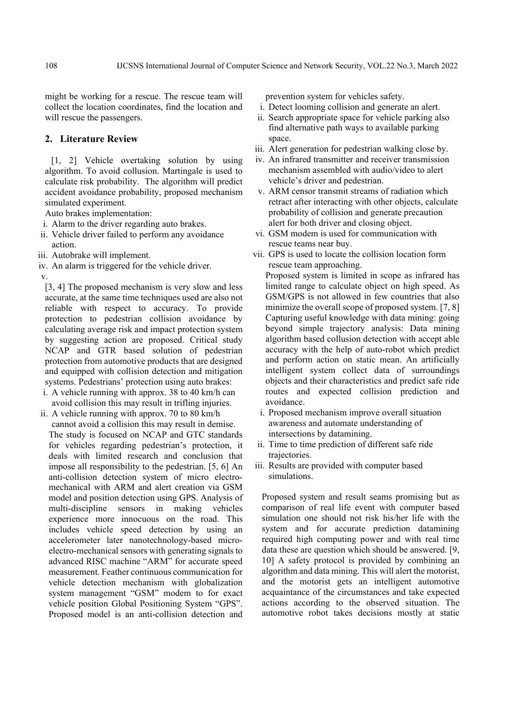might be working for a rescue. The rescue team will collect the location coordinates, find the location and will rescue the passengers.

## **2. Literature Review**

 [1, 2] Vehicle overtaking solution by using algorithm. To avoid collusion. Martingale is used to calculate risk probability. The algorithm will predict accident avoidance probability, proposed mechanism simulated experiment.

Auto brakes implementation:

- i. Alarm to the driver regarding auto brakes.
- ii. Vehicle driver failed to perform any avoidance action.
- iii. Autobrake will implement.
- iv. An alarm is triggered for the vehicle driver.

v.

[3, 4] The proposed mechanism is very slow and less accurate, at the same time techniques used are also not reliable with respect to accuracy. To provide protection to pedestrian collision avoidance by calculating average risk and impact protection system by suggesting action are proposed. Critical study NCAP and GTR based solution of pedestrian protection from automotive products that are designed and equipped with collision detection and mitigation systems. Pedestrians' protection using auto brakes:

- i. A vehicle running with approx. 38 to 40 km/h can avoid collision this may result in trifling injuries.
- ii. A vehicle running with approx. 70 to 80 km/h cannot avoid a collision this may result in demise. The study is focused on NCAP and GTC standards for vehicles regarding pedestrian's protection, it deals with limited research and conclusion that impose all responsibility to the pedestrian. [5, 6] An anti-collision detection system of micro electromechanical with ARM and alert creation via GSM model and position detection using GPS. Analysis of multi-discipline sensors in making vehicles experience more innocuous on the road. This includes vehicle speed detection by using an accelerometer later nanotechnology-based microelectro-mechanical sensors with generating signals to advanced RISC machine "ARM" for accurate speed measurement. Feather continuous communication for vehicle detection mechanism with globalization system management "GSM" modem to for exact vehicle position Global Positioning System "GPS". Proposed model is an anti-collision detection and

prevention system for vehicles safety.

- i. Detect looming collision and generate an alert.
- ii. Search appropriate space for vehicle parking also find alternative path ways to available parking space.
- iii. Alert generation for pedestrian walking close by.
- iv. An infrared transmitter and receiver transmission mechanism assembled with audio/video to alert vehicle's driver and pedestrian.
- v. ARM censor transmit streams of radiation which retract after interacting with other objects, calculate probability of collision and generate precaution alert for both driver and closing object.
- vi. GSM modem is used for communication with rescue teams near buy.
- vii. GPS is used to locate the collision location form rescue team approaching.

Proposed system is limited in scope as infrared has limited range to calculate object on high speed. As GSM/GPS is not allowed in few countries that also minimize the overall scope of proposed system. [7, 8] Capturing useful knowledge with data mining: going beyond simple trajectory analysis: Data mining algorithm based collusion detection with accept able accuracy with the help of auto-robot which predict and perform action on static mean. An artificially intelligent system collect data of surroundings objects and their characteristics and predict safe ride routes and expected collision prediction and avoidance.

- i. Proposed mechanism improve overall situation awareness and automate understanding of intersections by datamining.
- ii. Time to time prediction of different safe ride trajectories.
- iii. Results are provided with computer based simulations.

Proposed system and result seams promising but as comparison of real life event with computer based simulation one should not risk his/her life with the system and for accurate prediction datamining required high computing power and with real time data these are question which should be answered. [9, 10] A safety protocol is provided by combining an algorithm and data mining. This will alert the motorist, and the motorist gets an intelligent automotive acquaintance of the circumstances and take expected actions according to the observed situation. The automotive robot takes decisions mostly at static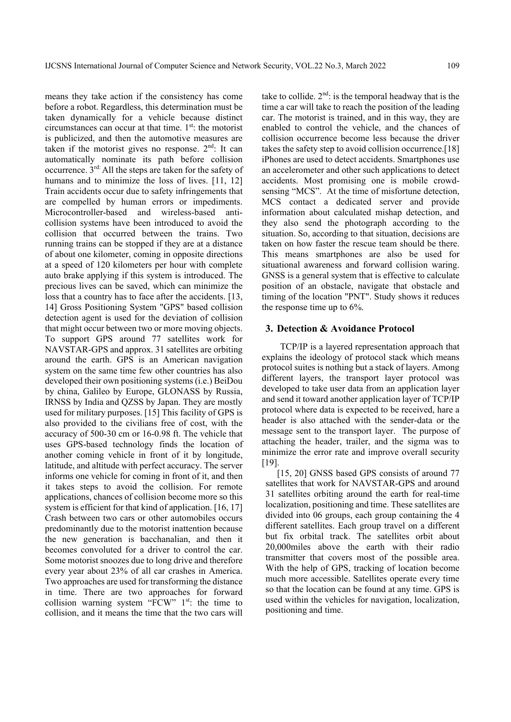means they take action if the consistency has come before a robot. Regardless, this determination must be taken dynamically for a vehicle because distinct circumstances can occur at that time.  $1<sup>st</sup>$ : the motorist is publicized, and then the automotive measures are taken if the motorist gives no response.  $2<sup>nd</sup>$ : It can automatically nominate its path before collision occurrence. 3rd: All the steps are taken for the safety of humans and to minimize the loss of lives. [11, 12] Train accidents occur due to safety infringements that are compelled by human errors or impediments. Microcontroller-based and wireless-based anticollision systems have been introduced to avoid the collision that occurred between the trains. Two running trains can be stopped if they are at a distance of about one kilometer, coming in opposite directions at a speed of 120 kilometers per hour with complete auto brake applying if this system is introduced. The precious lives can be saved, which can minimize the loss that a country has to face after the accidents. [13, 14] Gross Positioning System "GPS" based collision detection agent is used for the deviation of collision that might occur between two or more moving objects. To support GPS around 77 satellites work for NAVSTAR-GPS and approx. 31 satellites are orbiting around the earth. GPS is an American navigation system on the same time few other countries has also developed their own positioning systems (i.e.) BeiDou by china, Galileo by Europe, GLONASS by Russia, IRNSS by India and QZSS by Japan. They are mostly used for military purposes. [15] This facility of GPS is also provided to the civilians free of cost, with the accuracy of 500-30 cm or 16-0.98 ft. The vehicle that uses GPS-based technology finds the location of another coming vehicle in front of it by longitude, latitude, and altitude with perfect accuracy. The server informs one vehicle for coming in front of it, and then it takes steps to avoid the collision. For remote applications, chances of collision become more so this system is efficient for that kind of application. [16, 17] Crash between two cars or other automobiles occurs predominantly due to the motorist inattention because the new generation is bacchanalian, and then it becomes convoluted for a driver to control the car. Some motorist snoozes due to long drive and therefore every year about 23% of all car crashes in America. Two approaches are used for transforming the distance in time. There are two approaches for forward collision warning system "FCW"  $1<sup>st</sup>$ : the time to collision, and it means the time that the two cars will

take to collide.  $2<sup>nd</sup>$ : is the temporal headway that is the time a car will take to reach the position of the leading car. The motorist is trained, and in this way, they are enabled to control the vehicle, and the chances of collision occurrence become less because the driver takes the safety step to avoid collision occurrence.[18] iPhones are used to detect accidents. Smartphones use an accelerometer and other such applications to detect accidents. Most promising one is mobile crowdsensing "MCS". At the time of misfortune detection, MCS contact a dedicated server and provide information about calculated mishap detection, and they also send the photograph according to the situation. So, according to that situation, decisions are taken on how faster the rescue team should be there. This means smartphones are also be used for situational awareness and forward collision waring. GNSS is a general system that is effective to calculate position of an obstacle, navigate that obstacle and timing of the location "PNT". Study shows it reduces the response time up to 6%.

#### **3. Detection & Avoidance Protocol**

TCP/IP is a layered representation approach that explains the ideology of protocol stack which means protocol suites is nothing but a stack of layers. Among different layers, the transport layer protocol was developed to take user data from an application layer and send it toward another application layer of TCP/IP protocol where data is expected to be received, hare a header is also attached with the sender-data or the message sent to the transport layer. The purpose of attaching the header, trailer, and the sigma was to minimize the error rate and improve overall security [19].

[15, 20] GNSS based GPS consists of around 77 satellites that work for NAVSTAR-GPS and around 31 satellites orbiting around the earth for real-time localization, positioning and time. These satellites are divided into 06 groups, each group containing the 4 different satellites. Each group travel on a different but fix orbital track. The satellites orbit about 20,000miles above the earth with their radio transmitter that covers most of the possible area. With the help of GPS, tracking of location become much more accessible. Satellites operate every time so that the location can be found at any time. GPS is used within the vehicles for navigation, localization, positioning and time.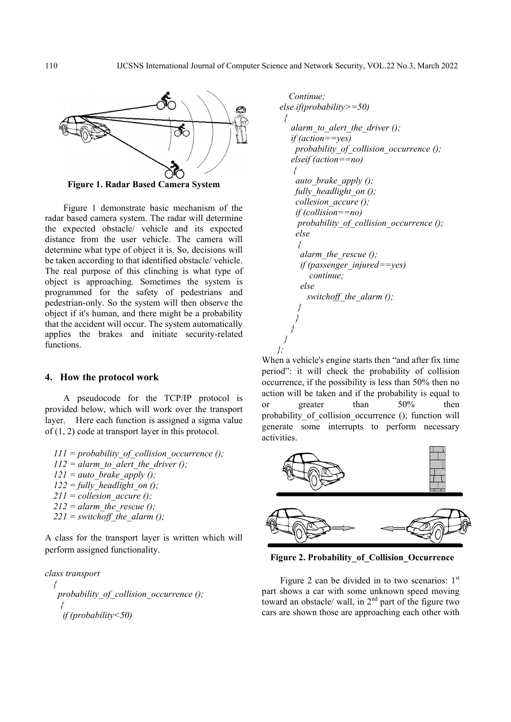

**Figure 1. Radar Based Camera System** 

Figure 1 demonstrate basic mechanism of the radar based camera system. The radar will determine the expected obstacle/ vehicle and its expected distance from the user vehicle. The camera will determine what type of object it is. So, decisions will be taken according to that identified obstacle/ vehicle. The real purpose of this clinching is what type of object is approaching. Sometimes the system is programmed for the safety of pedestrians and pedestrian-only. So the system will then observe the object if it's human, and there might be a probability that the accident will occur. The system automatically applies the brakes and initiate security-related functions.

### **4. How the protocol work**

A pseudocode for the TCP/IP protocol is provided below, which will work over the transport layer. Here each function is assigned a sigma value of (1, 2) code at transport layer in this protocol.

*111 = probability\_of\_collision\_occurrence ();*   $112$  = alarm to alert the driver ();  $121 = auto\,\,break\,\,break$  brake\_apply ();  $122 = \text{fully}$  headlight on (); *211 = collesion\_accure ();*   $212$  = alarm\_the\_rescue ();  $221$  = switchoff the alarm ();

A class for the transport layer is written which will perform assigned functionality.



```
 Continue; 
  else if(probability>=50) 
{ 
     alarm_to_alert_the_driver (); 
     if (action==yes) 
      probability_of_collision_occurrence (); 
     elseif (action==no) 
      { 
      auto_brake_apply (); 
      fully_headlight_on (); 
      collesion_accure (); 
      if (collision==no) 
       probability_of_collision_occurrence (); 
      else 
       { 
        alarm_the_rescue (); 
        if (passenger_injured==yes) 
          continue; 
        else 
          switchoff_the_alarm (); 
} 
} 
} 
} 
};
```
When a vehicle's engine starts then "and after fix time period": it will check the probability of collision occurrence, if the possibility is less than 50% then no action will be taken and if the probability is equal to or greater than 50% then probability of collision occurrence (); function will generate some interrupts to perform necessary activities.



**Figure 2. Probability\_of\_Collision\_Occurrence** 

Figure 2 can be divided in to two scenarios:  $1<sup>st</sup>$ part shows a car with some unknown speed moving toward an obstacle/ wall, in  $2<sup>nd</sup>$  part of the figure two cars are shown those are approaching each other with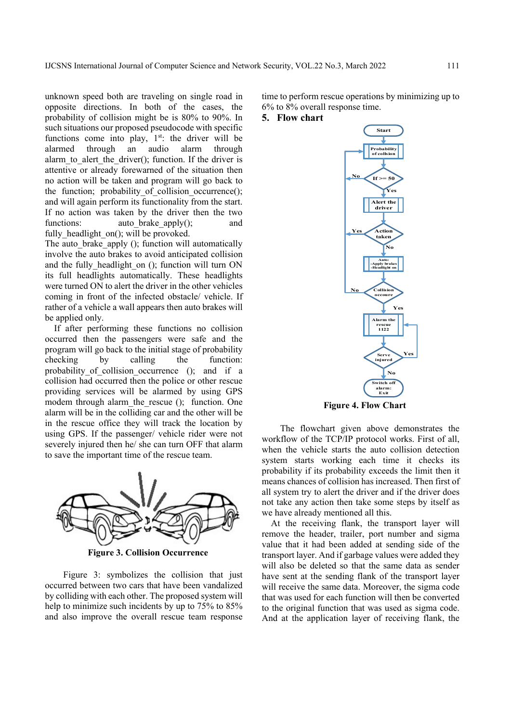unknown speed both are traveling on single road in opposite directions. In both of the cases, the probability of collision might be is 80% to 90%. In such situations our proposed pseudocode with specific functions come into play,  $1<sup>st</sup>$ : the driver will be alarmed through an audio alarm through alarm to alert the driver(); function. If the driver is attentive or already forewarned of the situation then no action will be taken and program will go back to the function; probability of collision occurrence(); and will again perform its functionality from the start. If no action was taken by the driver then the two functions: auto brake apply(); and fully headlight on(); will be provoked.

The auto brake apply (); function will automatically involve the auto brakes to avoid anticipated collision and the fully headlight on (); function will turn ON its full headlights automatically. These headlights were turned ON to alert the driver in the other vehicles coming in front of the infected obstacle/ vehicle. If rather of a vehicle a wall appears then auto brakes will be applied only.

If after performing these functions no collision occurred then the passengers were safe and the program will go back to the initial stage of probability checking by calling the function: probability of collision occurrence (); and if a collision had occurred then the police or other rescue providing services will be alarmed by using GPS modem through alarm the rescue (); function. One alarm will be in the colliding car and the other will be in the rescue office they will track the location by using GPS. If the passenger/ vehicle rider were not severely injured then he/ she can turn OFF that alarm to save the important time of the rescue team.



Figure 3: symbolizes the collision that just occurred between two cars that have been vandalized by colliding with each other. The proposed system will help to minimize such incidents by up to 75% to 85% and also improve the overall rescue team response time to perform rescue operations by minimizing up to 6% to 8% overall response time.

## **5. Flow chart**



**Figure 4. Flow Chart**

The flowchart given above demonstrates the workflow of the TCP/IP protocol works. First of all, when the vehicle starts the auto collision detection system starts working each time it checks its probability if its probability exceeds the limit then it means chances of collision has increased. Then first of all system try to alert the driver and if the driver does not take any action then take some steps by itself as we have already mentioned all this.

At the receiving flank, the transport layer will remove the header, trailer, port number and sigma value that it had been added at sending side of the transport layer. And if garbage values were added they will also be deleted so that the same data as sender have sent at the sending flank of the transport layer will receive the same data. Moreover, the sigma code that was used for each function will then be converted to the original function that was used as sigma code. And at the application layer of receiving flank, the